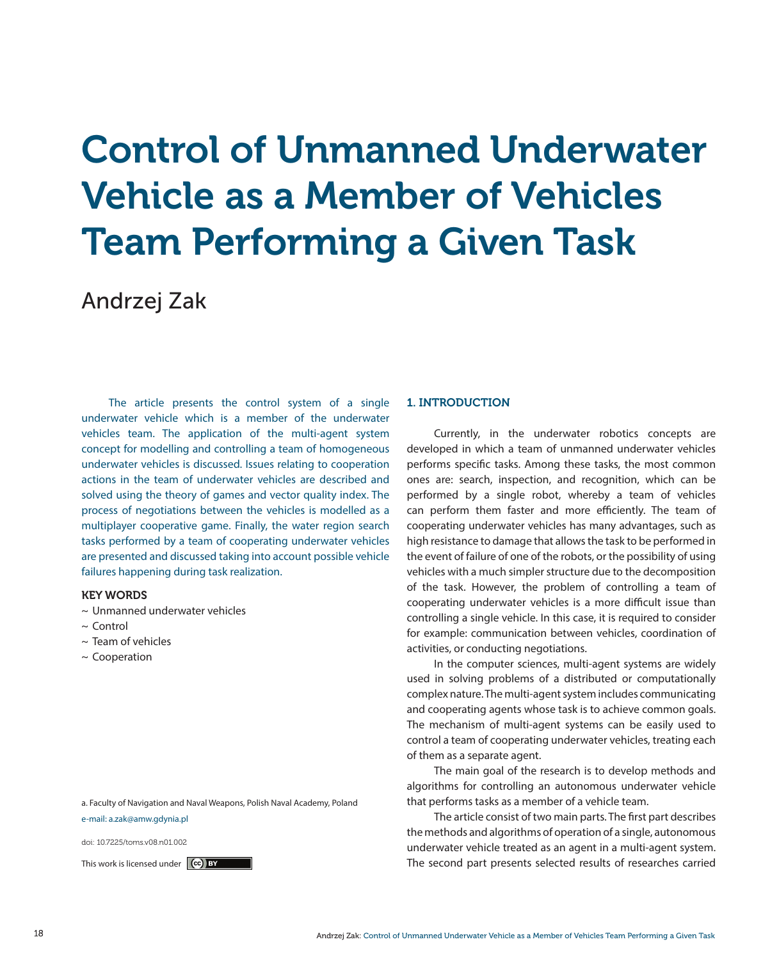# Control of Unmanned Underwater Vehicle as a Member of Vehicles Team Performing a Given Task

# Andrzej Zak

The article presents the control system of a single underwater vehicle which is a member of the underwater vehicles team. The application of the multi-agent system concept for modelling and controlling a team of homogeneous underwater vehicles is discussed. Issues relating to cooperation actions in the team of underwater vehicles are described and solved using the theory of games and vector quality index. The process of negotiations between the vehicles is modelled as a multiplayer cooperative game. Finally, the water region search tasks performed by a team of cooperating underwater vehicles are presented and discussed taking into account possible vehicle failures happening during task realization.

# KEY WORDS

- ~ Unmanned underwater vehicles
- $\sim$  Control
- $\sim$  Team of vehicles
- ~ Cooperation

a. Faculty of Navigation and Naval Weapons, Polish Naval Academy, Poland e-mail: a.zak@amw.gdynia.pl

doi: 10.7225/toms.v08.n01.002

# 1. INTRODUCTION

Currently, in the underwater robotics concepts are developed in which a team of unmanned underwater vehicles performs specific tasks. Among these tasks, the most common ones are: search, inspection, and recognition, which can be performed by a single robot, whereby a team of vehicles can perform them faster and more efficiently. The team of cooperating underwater vehicles has many advantages, such as high resistance to damage that allows the task to be performed in the event of failure of one of the robots, or the possibility of using vehicles with a much simpler structure due to the decomposition of the task. However, the problem of controlling a team of cooperating underwater vehicles is a more difficult issue than controlling a single vehicle. In this case, it is required to consider for example: communication between vehicles, coordination of activities, or conducting negotiations.

In the computer sciences, multi-agent systems are widely used in solving problems of a distributed or computationally complex nature. The multi-agent system includes communicating and cooperating agents whose task is to achieve common goals. The mechanism of multi-agent systems can be easily used to control a team of cooperating underwater vehicles, treating each of them as a separate agent.

The main goal of the research is to develop methods and algorithms for controlling an autonomous underwater vehicle that performs tasks as a member of a vehicle team.

The article consist of two main parts. The first part describes the methods and algorithms of operation of a single, autonomous underwater vehicle treated as an agent in a multi-agent system. This work is licensed under  $\left[\begin{array}{cc} \text{(c)} \text{ BY} \end{array}\right]$  The second part presents selected results of researches carried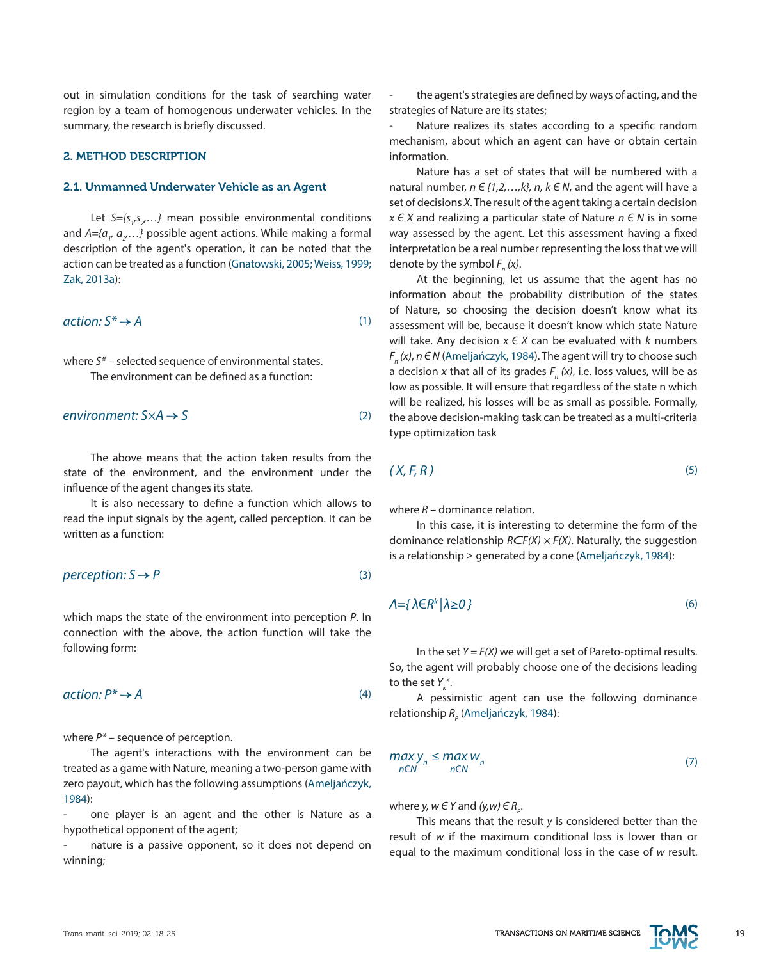out in simulation conditions for the task of searching water region by a team of homogenous underwater vehicles. In the summary, the research is briefly discussed.

# 2. METHOD DESCRIPTION

#### 2.1. Unmanned Underwater Vehicle as an Agent

Let S={s<sub>1</sub>,s<sub>2</sub>,...} mean possible environmental conditions and *A={a<sub>1</sub>, a<sub>2</sub>...}* possible agent actions. While making a formal description of the agent's operation, it can be noted that the action can be treated as a function (Gnatowski, 2005; Weiss, 1999; Zak, 2013a):

$$
action: S^* \to A \tag{1}
$$

where *S\** – selected sequence of environmental states. The environment can be defined as a function:

$$
environment: S \times A \rightarrow S
$$
 (2)

The above means that the action taken results from the state of the environment, and the environment under the influence of the agent changes its state.

It is also necessary to define a function which allows to read the input signals by the agent, called perception. It can be written as a function:

$$
perception: S \rightarrow P
$$
 (3)

which maps the state of the environment into perception *P*. In connection with the above, the action function will take the following form:

$$
action: P^* \to A \tag{4}
$$

where *P\** – sequence of perception.

The agent's interactions with the environment can be treated as a game with Nature, meaning a two-person game with zero payout, which has the following assumptions (Ameljańczyk, 1984):

one player is an agent and the other is Nature as a hypothetical opponent of the agent;

nature is a passive opponent, so it does not depend on winning;

the agent's strategies are defined by ways of acting, and the strategies of Nature are its states;

Nature realizes its states according to a specific random mechanism, about which an agent can have or obtain certain information.

Nature has a set of states that will be numbered with a natural number, *n Є {1,2,…,k}, n, k Є N*, and the agent will have a set of decisions *X*. The result of the agent taking a certain decision *x Є X* and realizing a particular state of Nature *n Є N* is in some way assessed by the agent. Let this assessment having a fixed interpretation be a real number representing the loss that we will denote by the symbol  $F_n(x)$ .

At the beginning, let us assume that the agent has no information about the probability distribution of the states of Nature, so choosing the decision doesn't know what its assessment will be, because it doesn't know which state Nature will take. Any decision *x Є X* can be evaluated with *k* numbers *Fn (x)*, *n Є N* (Ameljańczyk, 1984). The agent will try to choose such a decision *x* that all of its grades *Fn (x)*, i.e. loss values, will be as low as possible. It will ensure that regardless of the state n which will be realized, his losses will be as small as possible. Formally, the above decision-making task can be treated as a multi-criteria type optimization task

$$
(X, F, R) \tag{5}
$$

where *R* – dominance relation.

In this case, it is interesting to determine the form of the dominance relationship *RСF(X) × F(X)*. Naturally, the suggestion is a relationship ≥ generated by a cone (Ameljańczyk, 1984):

$$
\Lambda = \{\lambda \in R^k \mid \lambda \ge 0\}
$$
\n<sup>(6)</sup>

In the set *Y = F(X)* we will get a set of Pareto-optimal results. So, the agent will probably choose one of the decisions leading to the set  $Y_k^{\leq}$ .

A pessimistic agent can use the following dominance relationship *R<sub>p</sub>* (Ameljańczyk, 1984):

$$
\max_{n \in \mathbb{N}} y_n \le \max_{n \in \mathbb{N}} w_n \tag{7}
$$

where *y*,  $w \in Y$  and  $(y, w) \in R$ <sub>*p*</sub>.

This means that the result *y* is considered better than the result of *w* if the maximum conditional loss is lower than or equal to the maximum conditional loss in the case of *w* result.

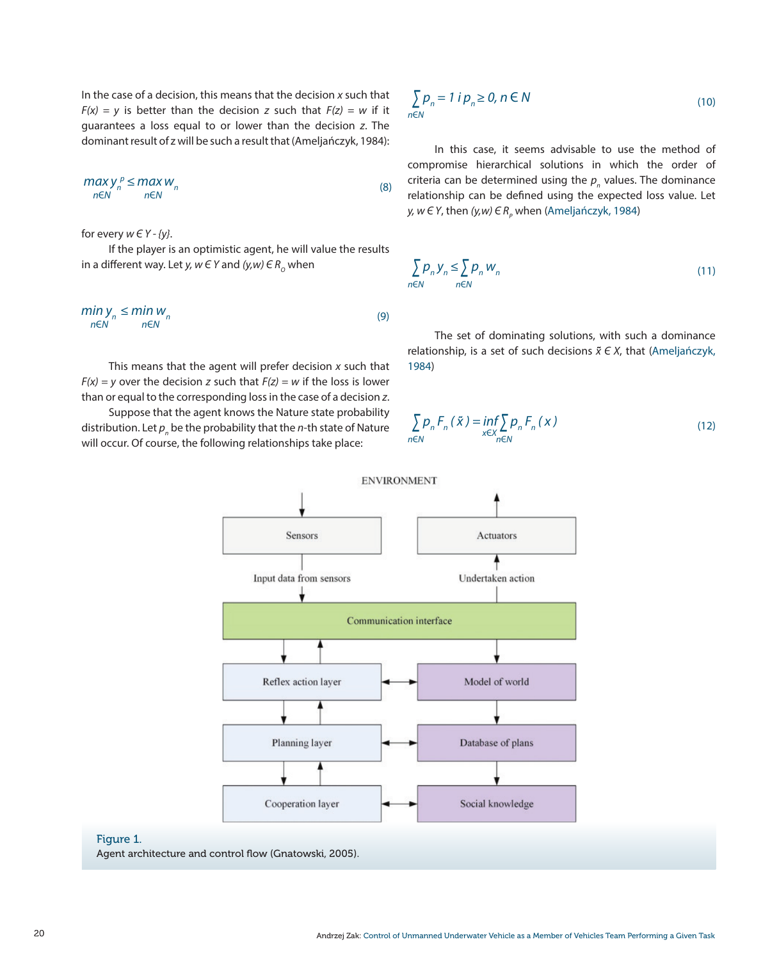In the case of a decision, this means that the decision *x* such that  $F(x) = y$  is better than the decision *z* such that  $F(z) = w$  if it guarantees a loss equal to or lower than the decision *z*. The dominant result of z will be such a result that (Ameljańczyk, 1984):

$$
\begin{array}{c}\n\max \mathsf{y}_n^p \leq \max \mathsf{w}_n\\ \n\text{new} \quad \text{new} \quad \text{new} \tag{8}\n\end{array}
$$

for every *w Є Y - {y}*.

If the player is an optimistic agent, he will value the results in a different way. Let *y*,  $w \in Y$  and  $(y, w) \in R_0$  when

$$
\min_{n \in \mathbb{N}} \sum_{n=1}^{n} \min_{n \in \mathbb{N}} W_n \tag{9}
$$

This means that the agent will prefer decision *x* such that  $F(x) = y$  over the decision *z* such that  $F(z) = w$  if the loss is lower than or equal to the corresponding loss in the case of a decision *z*.

Suppose that the agent knows the Nature state probability distribution. Let  $\boldsymbol{p}_{\scriptscriptstyle n}$  be the probability that the  $\boldsymbol{n}$ -th state of Nature will occur. Of course, the following relationships take place:

$$
\sum_{n \in \mathbb{N}} p_n = 1 \text{ if } p_n \ge 0, n \in \mathbb{N} \tag{10}
$$

In this case, it seems advisable to use the method of compromise hierarchical solutions in which the order of criteria can be determined using the  $p_{n}$  values. The dominance relationship can be defined using the expected loss value. Let *y, w E Y,* then *(y,w) E R<sub>P</sub>* when (Ameljańczyk, 1984)

$$
\sum_{n \in \mathbb{N}} p_n y_n \le \sum_{n \in \mathbb{N}} p_n w_n \tag{11}
$$

The set of dominating solutions, with such a dominance relationship, is a set of such decisions *x Є X*, that (Ameljańczyk, 1984)

$$
\sum_{n\in\mathbb{N}}p_{n}F_{n}(\tilde{x})=\inf_{x\in X}\sum_{n\in\mathbb{N}}p_{n}F_{n}(x)
$$
\n(12)



## Figure 1.

Agent architecture and control flow (Gnatowski, 2005).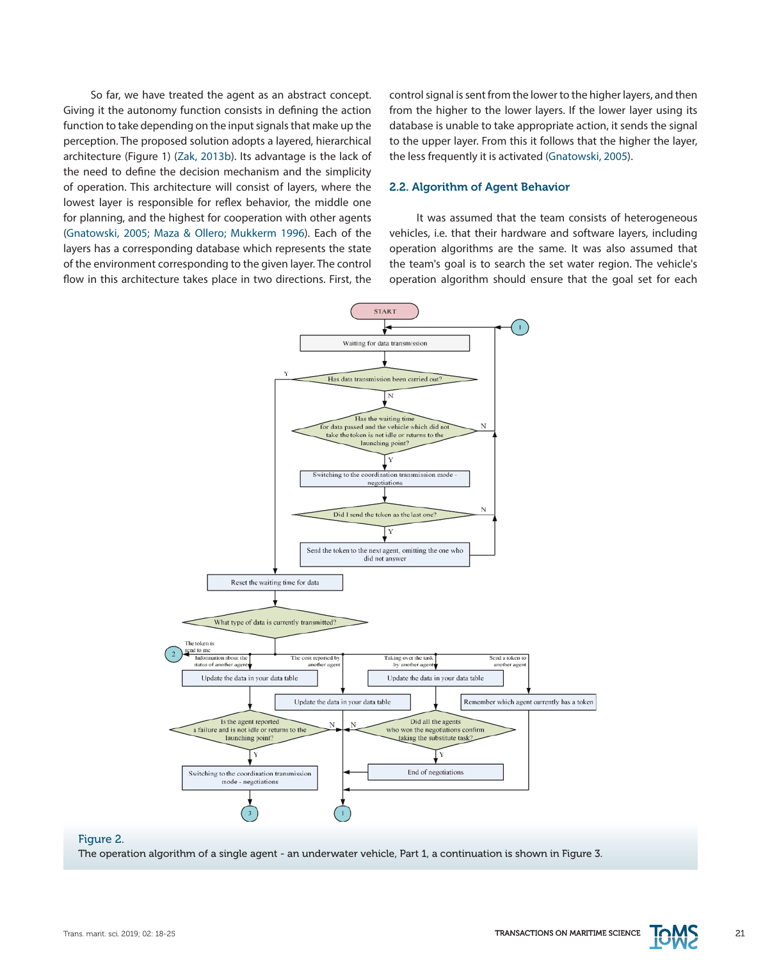So far, we have treated the agent as an abstract concept. Giving it the autonomy function consists in defining the action function to take depending on the input signals that make up the perception. The proposed solution adopts a layered, hierarchical architecture (Figure 1) (Zak, 2013b). Its advantage is the lack of the need to define the decision mechanism and the simplicity of operation. This architecture will consist of layers, where the lowest layer is responsible for reflex behavior, the middle one for planning, and the highest for cooperation with other agents (Gnatowski, 2005; Maza & Ollero; Mukkerm 1996). Each of the layers has a corresponding database which represents the state of the environment corresponding to the given layer. The control flow in this architecture takes place in two directions. First, the

control signal is sent from the lower to the higher layers, and then from the higher to the lower layers. If the lower layer using its database is unable to take appropriate action, it sends the signal to the upper layer. From this it follows that the higher the layer, the less frequently it is activated (Gnatowski, 2005).

#### 2.2. Algorithm of Agent Behavior

It was assumed that the team consists of heterogeneous vehicles, i.e. that their hardware and software layers, including operation algorithms are the same. It was also assumed that the team's goal is to search the set water region. The vehicle's operation algorithm should ensure that the goal set for each



# Figure 2.

The operation algorithm of a single agent - an underwater vehicle, Part 1, a continuation is shown in Figure 3.

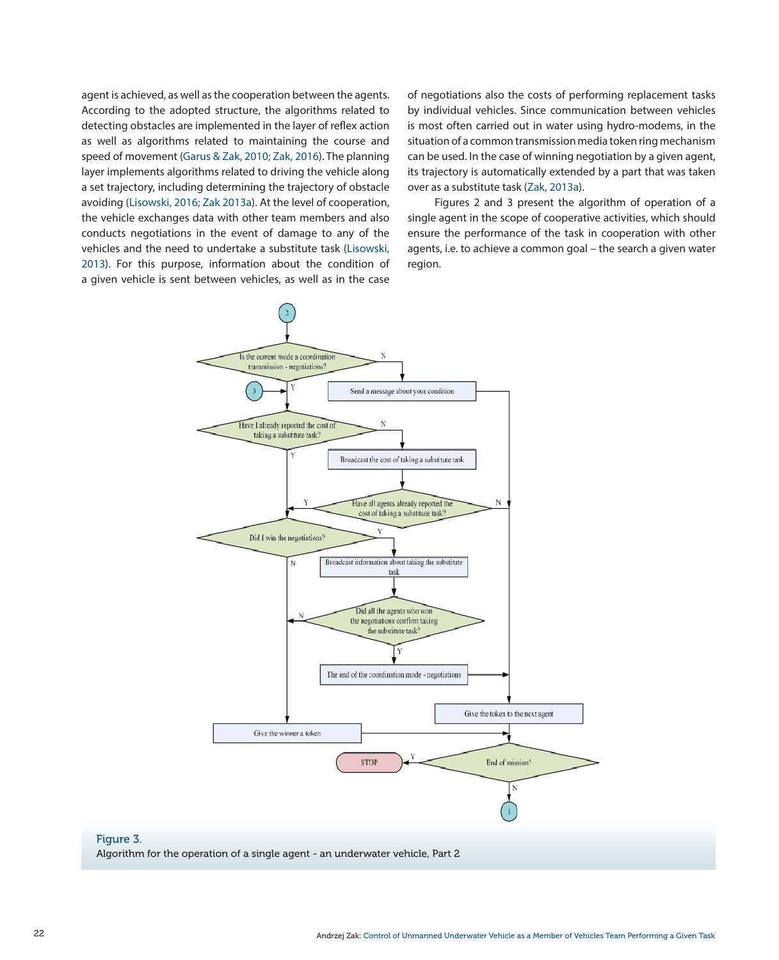agent is achieved, as well as the cooperation between the agents. According to the adopted structure, the algorithms related to detecting obstacles are implemented in the layer of reflex action as well as algorithms related to maintaining the course and speed of movement (Garus & Zak, 2010; Zak, 2016). The planning layer implements algorithms related to driving the vehicle along a set trajectory, including determining the trajectory of obstacle avoiding (Lisowski, 2016; Zak 2013a). At the level of cooperation, the vehicle exchanges data with other team members and also conducts negotiations in the event of damage to any of the vehicles and the need to undertake a substitute task (Lisowski, 2013). For this purpose, information about the condition of a given vehicle is sent between vehicles, as well as in the case

of negotiations also the costs of performing replacement tasks by individual vehicles. Since communication between vehicles is most often carried out in water using hydro-modems, in the situation of a common transmission media token ring mechanism can be used. In the case of winning negotiation by a given agent, its trajectory is automatically extended by a part that was taken over as a substitute task (Zak, 2013a).

Figures 2 and 3 present the algorithm of operation of a single agent in the scope of cooperative activities, which should ensure the performance of the task in cooperation with other agents, i.e. to achieve a common goal – the search a given water region.



Figure 3.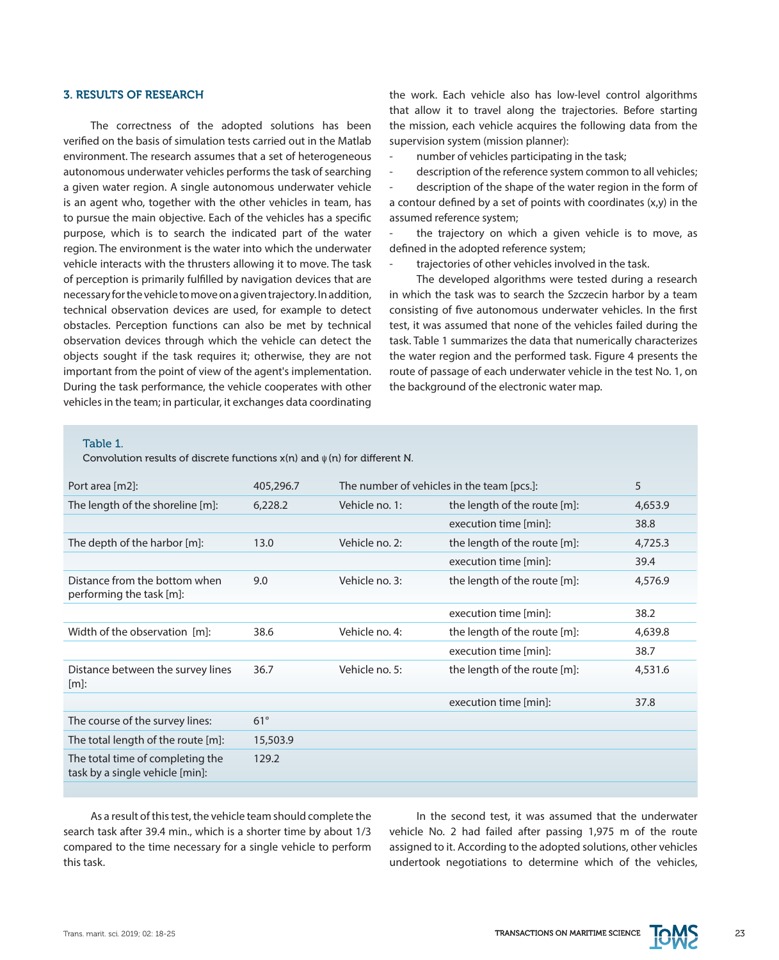#### 3. RESULTS OF RESEARCH

The correctness of the adopted solutions has been verified on the basis of simulation tests carried out in the Matlab environment. The research assumes that a set of heterogeneous autonomous underwater vehicles performs the task of searching a given water region. A single autonomous underwater vehicle is an agent who, together with the other vehicles in team, has to pursue the main objective. Each of the vehicles has a specific purpose, which is to search the indicated part of the water region. The environment is the water into which the underwater vehicle interacts with the thrusters allowing it to move. The task of perception is primarily fulfilled by navigation devices that are necessary for the vehicle to move on a given trajectory. In addition, technical observation devices are used, for example to detect obstacles. Perception functions can also be met by technical observation devices through which the vehicle can detect the objects sought if the task requires it; otherwise, they are not important from the point of view of the agent's implementation. During the task performance, the vehicle cooperates with other vehicles in the team; in particular, it exchanges data coordinating the work. Each vehicle also has low-level control algorithms that allow it to travel along the trajectories. Before starting the mission, each vehicle acquires the following data from the supervision system (mission planner):

- number of vehicles participating in the task;
- description of the reference system common to all vehicles;

description of the shape of the water region in the form of a contour defined by a set of points with coordinates (x,y) in the assumed reference system;

the trajectory on which a given vehicle is to move, as defined in the adopted reference system;

trajectories of other vehicles involved in the task.

The developed algorithms were tested during a research in which the task was to search the Szczecin harbor by a team consisting of five autonomous underwater vehicles. In the first test, it was assumed that none of the vehicles failed during the task. Table 1 summarizes the data that numerically characterizes the water region and the performed task. Figure 4 presents the route of passage of each underwater vehicle in the test No. 1, on the background of the electronic water map.

#### Table 1.

Convolution results of discrete functions x(n) and ψ (n) for different N.

| Port area [m2]:                                                     | 405,296.7  | The number of vehicles in the team [pcs.]: |                              | 5       |
|---------------------------------------------------------------------|------------|--------------------------------------------|------------------------------|---------|
| The length of the shoreline [m]:                                    | 6,228.2    | Vehicle no. 1:                             | the length of the route [m]: | 4,653.9 |
|                                                                     |            |                                            | execution time [min]:        | 38.8    |
| The depth of the harbor [m]:                                        | 13.0       | Vehicle no. 2:                             | the length of the route [m]: | 4,725.3 |
|                                                                     |            |                                            | execution time [min]:        | 39.4    |
| Distance from the bottom when<br>performing the task [m]:           | 9.0        | Vehicle no. 3:                             | the length of the route [m]: | 4,576.9 |
|                                                                     |            |                                            | execution time [min]:        | 38.2    |
| Width of the observation [m]:                                       | 38.6       | Vehicle no. 4:                             | the length of the route [m]: | 4,639.8 |
|                                                                     |            |                                            | execution time [min]:        | 38.7    |
| Distance between the survey lines<br>$[m]$ :                        | 36.7       | Vehicle no. 5:                             | the length of the route [m]: | 4,531.6 |
|                                                                     |            |                                            | execution time [min]:        | 37.8    |
| The course of the survey lines:                                     | $61^\circ$ |                                            |                              |         |
| The total length of the route [m]:                                  | 15,503.9   |                                            |                              |         |
| The total time of completing the<br>task by a single vehicle [min]: | 129.2      |                                            |                              |         |
|                                                                     |            |                                            |                              |         |

As a result of this test, the vehicle team should complete the search task after 39.4 min., which is a shorter time by about 1/3 compared to the time necessary for a single vehicle to perform this task.

In the second test, it was assumed that the underwater vehicle No. 2 had failed after passing 1,975 m of the route assigned to it. According to the adopted solutions, other vehicles undertook negotiations to determine which of the vehicles,

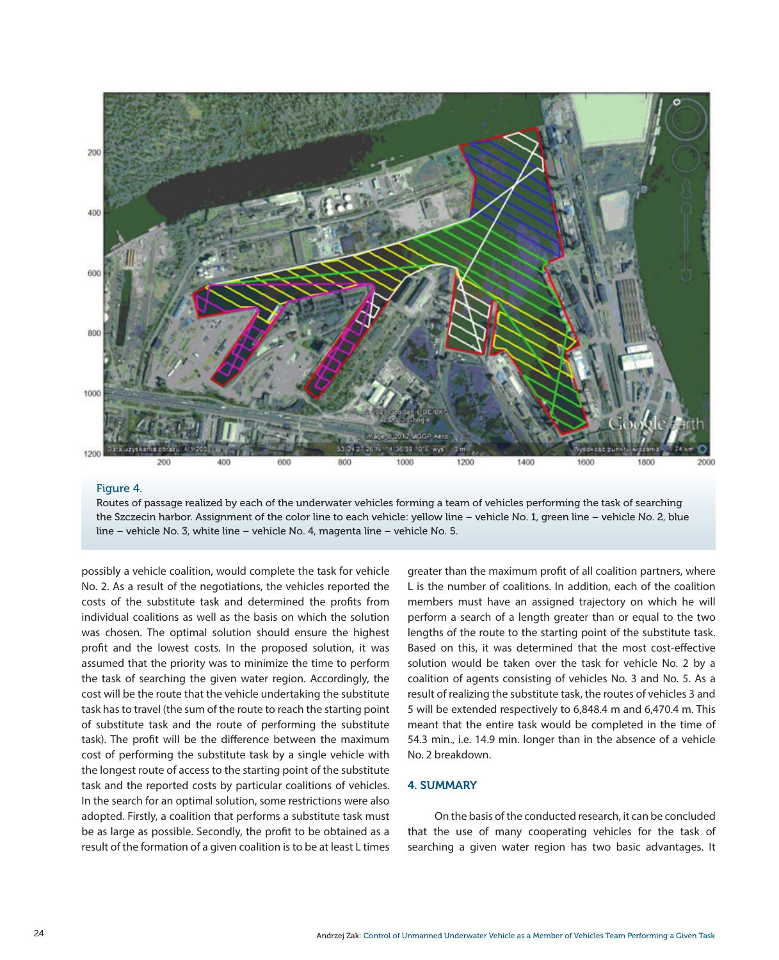

#### Figure 4.

Routes of passage realized by each of the underwater vehicles forming a team of vehicles performing the task of searching the Szczecin harbor. Assignment of the color line to each vehicle: yellow line – vehicle No. 1, green line – vehicle No. 2, blue line – vehicle No. 3, white line – vehicle No. 4, magenta line – vehicle No. 5.

possibly a vehicle coalition, would complete the task for vehicle No. 2. As a result of the negotiations, the vehicles reported the costs of the substitute task and determined the profits from individual coalitions as well as the basis on which the solution was chosen. The optimal solution should ensure the highest profit and the lowest costs. In the proposed solution, it was assumed that the priority was to minimize the time to perform the task of searching the given water region. Accordingly, the cost will be the route that the vehicle undertaking the substitute task has to travel (the sum of the route to reach the starting point of substitute task and the route of performing the substitute task). The profit will be the difference between the maximum cost of performing the substitute task by a single vehicle with the longest route of access to the starting point of the substitute task and the reported costs by particular coalitions of vehicles. In the search for an optimal solution, some restrictions were also adopted. Firstly, a coalition that performs a substitute task must be as large as possible. Secondly, the profit to be obtained as a result of the formation of a given coalition is to be at least L times greater than the maximum profit of all coalition partners, where L is the number of coalitions. In addition, each of the coalition members must have an assigned trajectory on which he will perform a search of a length greater than or equal to the two lengths of the route to the starting point of the substitute task. Based on this, it was determined that the most cost-effective solution would be taken over the task for vehicle No. 2 by a coalition of agents consisting of vehicles No. 3 and No. 5. As a result of realizing the substitute task, the routes of vehicles 3 and 5 will be extended respectively to 6,848.4 m and 6,470.4 m. This meant that the entire task would be completed in the time of 54.3 min., i.e. 14.9 min. longer than in the absence of a vehicle No. 2 breakdown.

# 4. SUMMARY

On the basis of the conducted research, it can be concluded that the use of many cooperating vehicles for the task of searching a given water region has two basic advantages. It